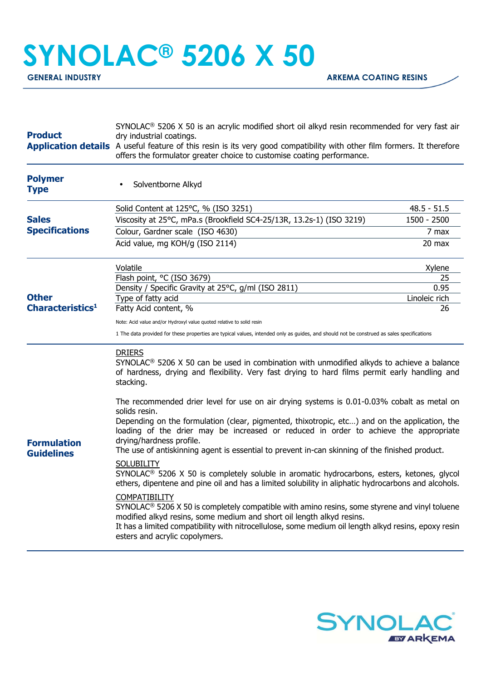## **SYNOLAC® 5206 X 50**

| <b>Product</b>                               | $SYNOLAC®$ 5206 X 50 is an acrylic modified short oil alkyd resin recommended for very fast air<br>dry industrial coatings.<br><b>Application details</b> A useful feature of this resin is its very good compatibility with other film formers. It therefore<br>offers the formulator greater choice to customise coating performance.    |                       |  |
|----------------------------------------------|--------------------------------------------------------------------------------------------------------------------------------------------------------------------------------------------------------------------------------------------------------------------------------------------------------------------------------------------|-----------------------|--|
| <b>Polymer</b><br><b>Type</b>                | Solventborne Alkyd                                                                                                                                                                                                                                                                                                                         |                       |  |
| <b>Sales</b><br><b>Specifications</b>        | Solid Content at 125°C, % (ISO 3251)                                                                                                                                                                                                                                                                                                       | $48.5 - 51.5$         |  |
|                                              | Viscosity at 25°C, mPa.s (Brookfield SC4-25/13R, 13.2s-1) (ISO 3219)                                                                                                                                                                                                                                                                       | 1500 - 2500           |  |
|                                              | Colour, Gardner scale (ISO 4630)                                                                                                                                                                                                                                                                                                           | 7 max                 |  |
|                                              | Acid value, mg KOH/g (ISO 2114)                                                                                                                                                                                                                                                                                                            | 20 max                |  |
| <b>Other</b><br>Characteristics <sup>1</sup> | Volatile                                                                                                                                                                                                                                                                                                                                   | Xylene                |  |
|                                              | Flash point, °C (ISO 3679)                                                                                                                                                                                                                                                                                                                 | 25                    |  |
|                                              | Density / Specific Gravity at 25°C, g/ml (ISO 2811)<br>Type of fatty acid                                                                                                                                                                                                                                                                  | 0.95<br>Linoleic rich |  |
|                                              | Fatty Acid content, %                                                                                                                                                                                                                                                                                                                      | 26                    |  |
|                                              | Note: Acid value and/or Hydroxyl value quoted relative to solid resin                                                                                                                                                                                                                                                                      |                       |  |
|                                              | 1 The data provided for these properties are typical values, intended only as guides, and should not be construed as sales specifications                                                                                                                                                                                                  |                       |  |
| <b>Formulation</b><br><b>Guidelines</b>      | <b>DRIERS</b><br>$SYNOLAC®$ 5206 X 50 can be used in combination with unmodified alkyds to achieve a balance<br>of hardness, drying and flexibility. Very fast drying to hard films permit early handling and<br>stacking.                                                                                                                 |                       |  |
|                                              | The recommended drier level for use on air drying systems is 0.01-0.03% cobalt as metal on<br>solids resin.                                                                                                                                                                                                                                |                       |  |
|                                              | Depending on the formulation (clear, pigmented, thixotropic, etc) and on the application, the<br>loading of the drier may be increased or reduced in order to achieve the appropriate<br>drying/hardness profile.                                                                                                                          |                       |  |
|                                              | The use of antiskinning agent is essential to prevent in-can skinning of the finished product.                                                                                                                                                                                                                                             |                       |  |
|                                              | <b>SOLUBILITY</b><br>SYNOLAC <sup>®</sup> 5206 X 50 is completely soluble in aromatic hydrocarbons, esters, ketones, glycol<br>ethers, dipentene and pine oil and has a limited solubility in aliphatic hydrocarbons and alcohols.                                                                                                         |                       |  |
|                                              | <b>COMPATIBILITY</b><br>$SYNOLAC® 5206 X 50$ is completely compatible with amino resins, some styrene and vinyl toluene<br>modified alkyd resins, some medium and short oil length alkyd resins.<br>It has a limited compatibility with nitrocellulose, some medium oil length alkyd resins, epoxy resin<br>esters and acrylic copolymers. |                       |  |